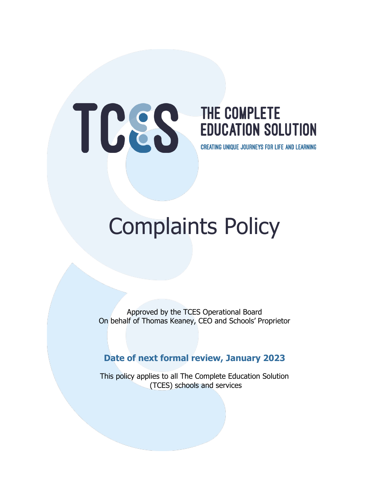# THE COMPLETE

## **EDUCATION SOLUTION**

**CREATING UNIQUE JOURNEYS FOR LIFE AND LEARNING** 

### Complaints Policy

Approved by the TCES Operational Board On behalf of Thomas Keaney, CEO and Schools' Proprietor

#### **Date of next formal review, January 2023**

This policy applies to all The Complete Education Solution (TCES) schools and services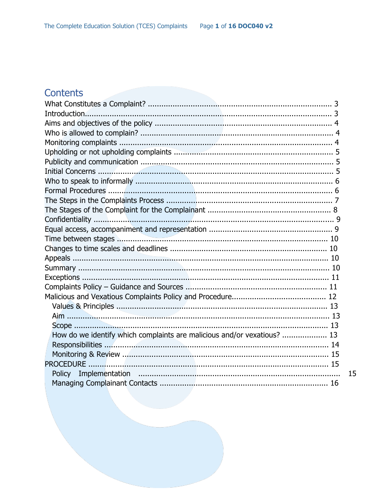#### Contents

| How do we identify which complaints are malicious and/or vexatious?  13 |    |
|-------------------------------------------------------------------------|----|
|                                                                         |    |
|                                                                         |    |
|                                                                         |    |
|                                                                         | 15 |
|                                                                         |    |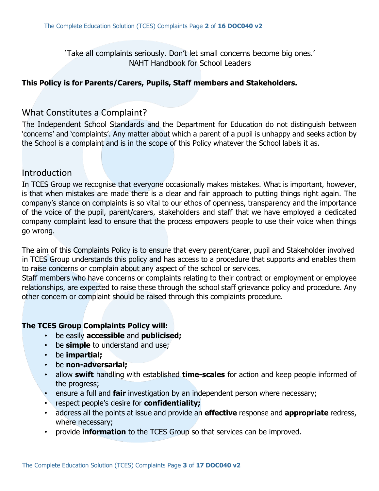'Take all complaints seriously. Don't let small concerns become big ones.' NAHT Handbook for School Leaders

#### **This Policy is for Parents/Carers, Pupils, Staff members and Stakeholders.**

#### What Constitutes a Complaint?

The Independent School Standards and the Department for Education do not distinguish between 'concerns' and 'complaints'. Any matter about which a parent of a pupil is unhappy and seeks action by the School is a complaint and is in the scope of this Policy whatever the School labels it as.

#### Introduction

In TCES Group we recognise that everyone occasionally makes mistakes. What is important, however, is that when mistakes are made there is a clear and fair approach to putting things right again. The company's stance on complaints is so vital to our ethos of openness, transparency and the importance of the voice of the pupil, parent/carers, stakeholders and staff that we have employed a dedicated company complaint lead to ensure that the process empowers people to use their voice when things go wrong.

The aim of this Complaints Policy is to ensure that every parent/carer, pupil and Stakeholder involved in TCES Group understands this policy and has access to a procedure that supports and enables them to raise concerns or complain about any aspect of the school or services.

Staff members who have concerns or complaints relating to their contract or employment or employee relationships, are expected to raise these through the school staff grievance policy and procedure. Any other concern or complaint should be raised through this complaints procedure.

#### **The TCES Group Complaints Policy will:**

- be easily **accessible** and **publicised;**
- be **simple** to understand and use;
- be **impartial;**
- be **non-adversarial;**
- allow **swift** handling with established **time-scales** for action and keep people informed of the progress;
- ensure a full and **fair** investigation by an independent person where necessary;
- respect people's desire for **confidentiality;**
- address all the points at issue and provide an **effective** response and **appropriate** redress, where necessary;
- provide **information** to the TCES Group so that services can be improved.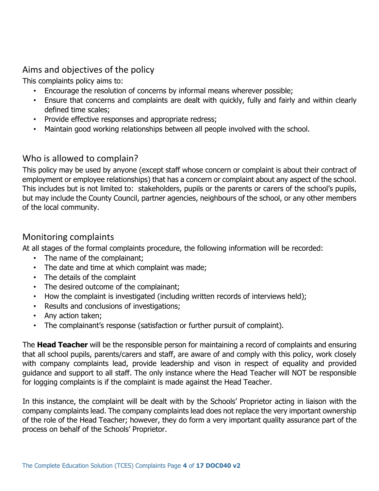#### Aims and objectives of the policy

This complaints policy aims to:

- Encourage the resolution of concerns by informal means wherever possible;
- Ensure that concerns and complaints are dealt with quickly, fully and fairly and within clearly defined time scales;
- Provide effective responses and appropriate redress;
- Maintain good working relationships between all people involved with the school.

#### Who is allowed to complain?

This policy may be used by anyone (except staff whose concern or complaint is about their contract of employment or employee relationships) that has a concern or complaint about any aspect of the school. This includes but is not limited to: stakeholders, pupils or the parents or carers of the school's pupils, but may include the County Council, partner agencies, neighbours of the school, or any other members of the local community.

#### Monitoring complaints

At all stages of the formal complaints procedure, the following information will be recorded:

- The name of the complainant;
- The date and time at which complaint was made;
- The details of the complaint
- The desired outcome of the complainant;
- How the complaint is investigated (including written records of interviews held);
- Results and conclusions of investigations;
- Any action taken;
- The complainant's response (satisfaction or further pursuit of complaint).

The **Head Teacher** will be the responsible person for maintaining a record of complaints and ensuring that all school pupils, parents/carers and staff, are aware of and comply with this policy, work closely with company complaints lead, provide leadership and vison in respect of equality and provided guidance and support to all staff. The only instance where the Head Teacher will NOT be responsible for logging complaints is if the complaint is made against the Head Teacher.

In this instance, the complaint will be dealt with by the Schools' Proprietor acting in liaison with the company complaints lead. The company complaints lead does not replace the very important ownership of the role of the Head Teacher; however, they do form a very important quality assurance part of the process on behalf of the Schools' Proprietor.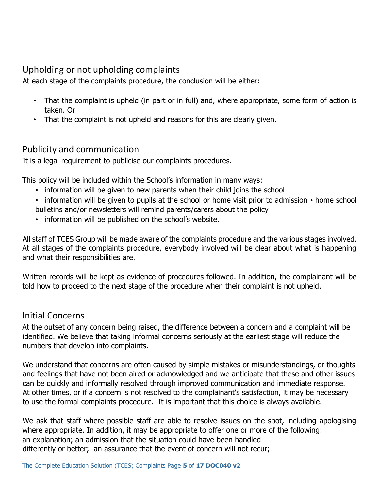#### Upholding or not upholding complaints

At each stage of the complaints procedure, the conclusion will be either:

- That the complaint is upheld (in part or in full) and, where appropriate, some form of action is taken. Or
- That the complaint is not upheld and reasons for this are clearly given.

#### Publicity and communication

It is a legal requirement to publicise our complaints procedures.

This policy will be included within the School's information in many ways:

- information will be given to new parents when their child joins the school
- information will be given to pupils at the school or home visit prior to admission home school bulletins and/or newsletters will remind parents/carers about the policy
- information will be published on the school's website.

All staff of TCES Group will be made aware of the complaints procedure and the various stages involved. At all stages of the complaints procedure, everybody involved will be clear about what is happening and what their responsibilities are.

Written records will be kept as evidence of procedures followed. In addition, the complainant will be told how to proceed to the next stage of the procedure when their complaint is not upheld.

#### Initial Concerns

At the outset of any concern being raised, the difference between a concern and a complaint will be identified. We believe that taking informal concerns seriously at the earliest stage will reduce the numbers that develop into complaints.

We understand that concerns are often caused by simple mistakes or misunderstandings, or thoughts and feelings that have not been aired or acknowledged and we anticipate that these and other issues can be quickly and informally resolved through improved communication and immediate response. At other times, or if a concern is not resolved to the complainant's satisfaction, it may be necessary to use the formal complaints procedure. It is important that this choice is always available.

We ask that staff where possible staff are able to resolve issues on the spot, including apologising where appropriate. In addition, it may be appropriate to offer one or more of the following: an explanation; an admission that the situation could have been handled differently or better; an assurance that the event of concern will not recur;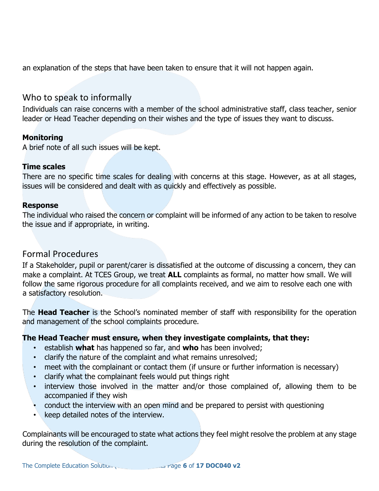an explanation of the steps that have been taken to ensure that it will not happen again.

#### Who to speak to informally

Individuals can raise concerns with a member of the school administrative staff, class teacher, senior leader or Head Teacher depending on their wishes and the type of issues they want to discuss.

#### **Monitoring**

A brief note of all such issues will be kept.

#### **Time scales**

There are no specific time scales for dealing with concerns at this stage. However, as at all stages, issues will be considered and dealt with as quickly and effectively as possible.

#### **Response**

The individual who raised the concern or complaint will be informed of any action to be taken to resolve the issue and if appropriate, in writing.

#### Formal Procedures

If a Stakeholder, pupil or parent/carer is dissatisfied at the outcome of discussing a concern, they can make a complaint. At TCES Group, we treat **ALL** complaints as formal, no matter how small. We will follow the same rigorous procedure for all complaints received, and we aim to resolve each one with a satisfactory resolution.

The **Head Teacher** is the School's nominated member of staff with responsibility for the operation and management of the school complaints procedure.

#### **The Head Teacher must ensure, when they investigate complaints, that they:**

- establish **what** has happened so far, and **who** has been involved;
- clarify the nature of the complaint and what remains unresolved;
- meet with the complainant or contact them (if unsure or further information is necessary)
- clarify what the complainant feels would put things right
- interview those involved in the matter and/or those complained of, allowing them to be accompanied if they wish
- conduct the interview with an open mind and be prepared to persist with questioning
- keep detailed notes of the interview.

Complainants will be encouraged to state what actions they feel might resolve the problem at any stage during the resolution of the complaint.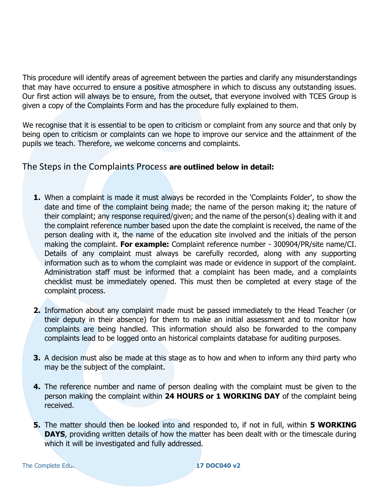This procedure will identify areas of agreement between the parties and clarify any misunderstandings that may have occurred to ensure a positive atmosphere in which to discuss any outstanding issues. Our first action will always be to ensure, from the outset, that everyone involved with TCES Group is given a copy of the Complaints Form and has the procedure fully explained to them.

We recognise that it is essential to be open to criticism or complaint from any source and that only by being open to criticism or complaints can we hope to improve our service and the attainment of the pupils we teach. Therefore, we welcome concerns and complaints.

#### The Steps in the Complaints Process **are outlined below in detail:**

- **1.** When a complaint is made it must always be recorded in the 'Complaints Folder', to show the date and time of the complaint being made; the name of the person making it; the nature of their complaint; any response required/given; and the name of the person(s) dealing with it and the complaint reference number based upon the date the complaint is received, the name of the person dealing with it, the name of the education site involved and the initials of the person making the complaint. **For example:** Complaint reference number - 300904/PR/site name/CI. Details of any complaint must always be carefully recorded, along with any supporting information such as to whom the complaint was made or evidence in support of the complaint. Administration staff must be informed that a complaint has been made, and a complaints checklist must be immediately opened. This must then be completed at every stage of the complaint process.
- **2.** Information about any complaint made must be passed immediately to the Head Teacher (or their deputy in their absence) for them to make an initial assessment and to monitor how complaints are being handled. This information should also be forwarded to the company complaints lead to be logged onto an historical complaints database for auditing purposes.
- **3.** A decision must also be made at this stage as to how and when to inform any third party who may be the subject of the complaint.
- **4.** The reference number and name of person dealing with the complaint must be given to the person making the complaint within **24 HOURS or 1 WORKING DAY** of the complaint being received.
- **5.** The matter should then be looked into and responded to, if not in full, within **5 WORKING DAYS**, providing written details of how the matter has been dealt with or the timescale during which it will be investigated and fully addressed.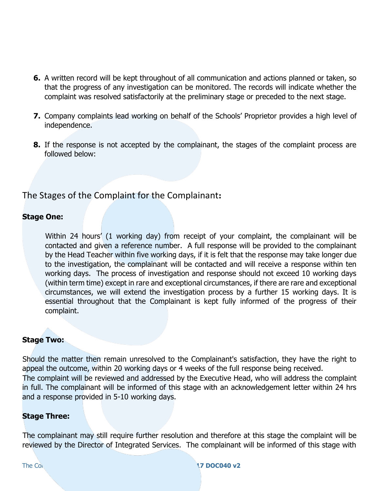- **6.** A written record will be kept throughout of all communication and actions planned or taken, so that the progress of any investigation can be monitored. The records will indicate whether the complaint was resolved satisfactorily at the preliminary stage or preceded to the next stage.
- **7.** Company complaints lead working on behalf of the Schools' Proprietor provides a high level of independence.
- **8.** If the response is not accepted by the complainant, the stages of the complaint process are followed below:

#### The Stages of the Complaint for the Complainant**:**

#### **Stage One:**

Within 24 hours' (1 working day) from receipt of your complaint, the complainant will be contacted and given a reference number. A full response will be provided to the complainant by the Head Teacher within five working days, if it is felt that the response may take longer due to the investigation, the complainant will be contacted and will receive a response within ten working days. The process of investigation and response should not exceed 10 working days (within term time) except in rare and exceptional circumstances, if there are rare and exceptional circumstances, we will extend the investigation process by a further 15 working days. It is essential throughout that the Complainant is kept fully informed of the progress of their complaint.

#### **Stage Two:**

Should the matter then remain unresolved to the Complainant's satisfaction, they have the right to appeal the outcome, within 20 working days or 4 weeks of the full response being received. The complaint will be reviewed and addressed by the Executive Head, who will address the complaint in full. The complainant will be informed of this stage with an acknowledgement letter within 24 hrs and a response provided in 5-10 working days.

#### **Stage Three:**

The complainant may still require further resolution and therefore at this stage the complaint will be reviewed by the Director of Integrated Services. The complainant will be informed of this stage with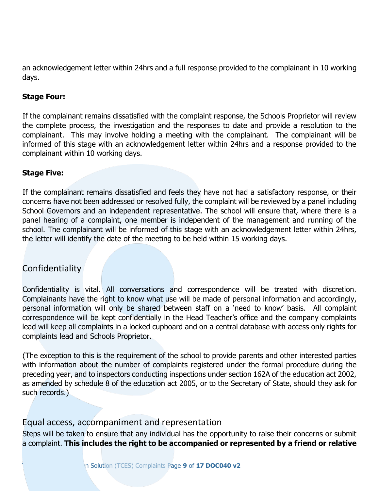an acknowledgement letter within 24hrs and a full response provided to the complainant in 10 working days.

#### **Stage Four:**

If the complainant remains dissatisfied with the complaint response, the Schools Proprietor will review the complete process, the investigation and the responses to date and provide a resolution to the complainant. This may involve holding a meeting with the complainant. The complainant will be informed of this stage with an acknowledgement letter within 24hrs and a response provided to the complainant within 10 working days.

#### **Stage Five:**

If the complainant remains dissatisfied and feels they have not had a satisfactory response, or their concerns have not been addressed or resolved fully, the complaint will be reviewed by a panel including School Governors and an independent representative. The school will ensure that, where there is a panel hearing of a complaint, one member is independent of the management and running of the school. The complainant will be informed of this stage with an acknowledgement letter within 24hrs, the letter will identify the date of the meeting to be held within 15 working days.

#### Confidentiality

Confidentiality is vital. All conversations and correspondence will be treated with discretion. Complainants have the right to know what use will be made of personal information and accordingly, personal information will only be shared between staff on a 'need to know' basis. All complaint correspondence will be kept confidentially in the Head Teacher's office and the company complaints lead will keep all complaints in a locked cupboard and on a central database with access only rights for complaints lead and Schools Proprietor.

(The exception to this is the requirement of the school to provide parents and other interested parties with information about the number of complaints registered under the formal procedure during the preceding year, and to inspectors conducting inspections under section 162A of the education act 2002, as amended by schedule 8 of the education act 2005, or to the Secretary of State, should they ask for such records.)

#### Equal access, accompaniment and representation

Steps will be taken to ensure that any individual has the opportunity to raise their concerns or submit a complaint. **This includes the right to be accompanied or represented by a friend or relative**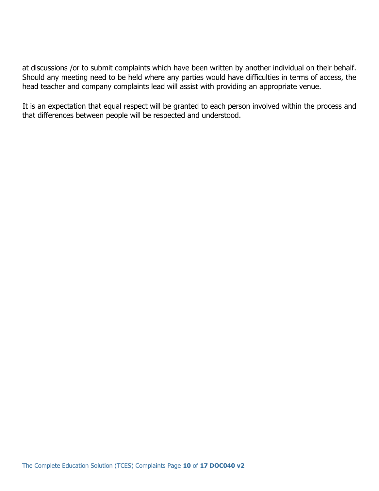at discussions /or to submit complaints which have been written by another individual on their behalf. Should any meeting need to be held where any parties would have difficulties in terms of access, the head teacher and company complaints lead will assist with providing an appropriate venue.

It is an expectation that equal respect will be granted to each person involved within the process and that differences between people will be respected and understood.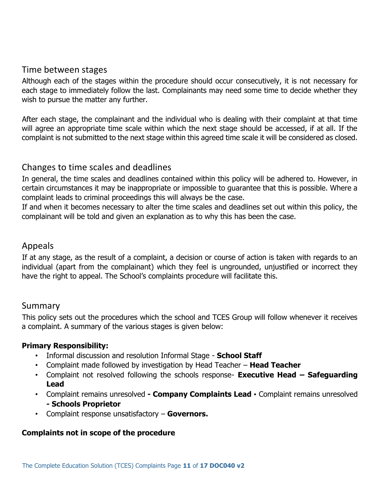#### Time between stages

Although each of the stages within the procedure should occur consecutively, it is not necessary for each stage to immediately follow the last. Complainants may need some time to decide whether they wish to pursue the matter any further.

After each stage, the complainant and the individual who is dealing with their complaint at that time will agree an appropriate time scale within which the next stage should be accessed, if at all. If the complaint is not submitted to the next stage within this agreed time scale it will be considered as closed.

#### Changes to time scales and deadlines

In general, the time scales and deadlines contained within this policy will be adhered to. However, in certain circumstances it may be inappropriate or impossible to guarantee that this is possible. Where a complaint leads to criminal proceedings this will always be the case.

If and when it becomes necessary to alter the time scales and deadlines set out within this policy, the complainant will be told and given an explanation as to why this has been the case.

#### Appeals

If at any stage, as the result of a complaint, a decision or course of action is taken with regards to an individual (apart from the complainant) which they feel is ungrounded, unjustified or incorrect they have the right to appeal. The School's complaints procedure will facilitate this.

#### Summary

This policy sets out the procedures which the school and TCES Group will follow whenever it receives a complaint. A summary of the various stages is given below:

#### **Primary Responsibility:**

- Informal discussion and resolution Informal Stage **School Staff**
- Complaint made followed by investigation by Head Teacher **Head Teacher**
- Complaint not resolved following the schools response- **Executive Head – Safeguarding Lead**
- Complaint remains unresolved **- Company Complaints Lead**  Complaint remains unresolved **- Schools Proprietor**
- Complaint response unsatisfactory **Governors.**

#### **Complaints not in scope of the procedure**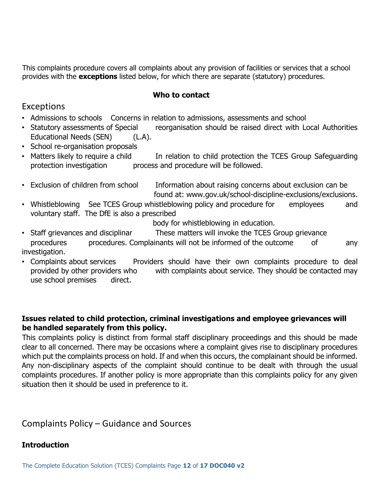This complaints procedure covers all complaints about any provision of facilities or services that a school provides with the **exceptions** listed below, for which there are separate (statutory) procedures.

#### **Who to contact**

#### Exceptions

- Admissions to schools Concerns in relation to admissions, assessments and school
- Statutory assessments of Special reorganisation should be raised direct with Local Authorities Educational Needs (SEN) (L.A).
- School re-organisation proposals
- Matters likely to require a child In relation to child protection the TCES Group Safeguarding protection investigation process and procedure will be followed.
- Exclusion of children from school Information about raising concerns about exclusion can be found at: www.gov.uk/school-discipline-exclusions/exclusions.
- Whistleblowing See TCES Group whistleblowing policy and procedure for employees and voluntary staff. The DfE is also a prescribed

body for whistleblowing in education.

- Staff grievances and disciplinar These matters will invoke the TCES Group grievance procedures procedures. Complainants will not be informed of the outcome of any investigation.
- Complaints about services Providers should have their own complaints procedure to deal provided by other providers who with complaints about service. They should be contacted may use school premises direct.

#### **Issues related to child protection, criminal investigations and employee grievances will be handled separately from this policy.**

This complaints policy is distinct from formal staff disciplinary proceedings and this should be made clear to all concerned. There may be occasions where a complaint gives rise to disciplinary procedures which put the complaints process on hold. If and when this occurs, the complainant should be informed. Any non-disciplinary aspects of the complaint should continue to be dealt with through the usual complaints procedures. If another policy is more appropriate than this complaints policy for any given situation then it should be used in preference to it.

Complaints Policy – Guidance and Sources

#### **Introduction**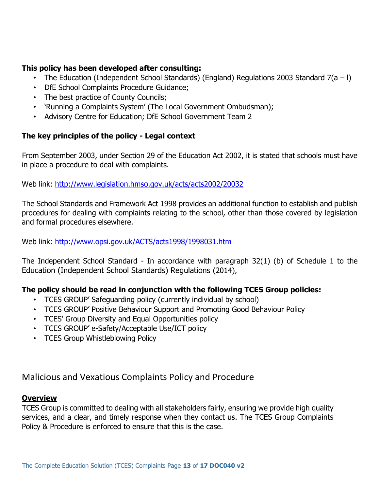#### **This policy has been developed after consulting:**

- The Education (Independent School Standards) (England) Regulations 2003 Standard 7(a I)
- DfE School Complaints Procedure Guidance;
- The best practice of County Councils;
- 'Running a Complaints System' (The Local Government Ombudsman);
- Advisory Centre for Education; DfE School Government Team 2

#### **The key principles of the policy - Legal context**

From September 2003, under Section 29 of the Education Act 2002, it is stated that schools must have in place a procedure to deal with complaints.

Web link:<http://www.legislation.hmso.gov.uk/acts/acts2002/20032>

The School Standards and Framework Act 1998 provides an additional function to establish and publish procedures for dealing with complaints relating to the school, other than those covered by legislation and formal procedures elsewhere.

Web link:<http://www.opsi.gov.uk/ACTS/acts1998/1998031.htm>

The Independent School Standard - In accordance with paragraph 32(1) (b) of Schedule 1 to the Education (Independent School Standards) Regulations (2014),

#### **The policy should be read in conjunction with the following TCES Group policies:**

- TCES GROUP' Safeguarding policy (currently individual by school)
- TCES GROUP' Positive Behaviour Support and Promoting Good Behaviour Policy
- TCES' Group Diversity and Equal Opportunities policy
- TCES GROUP' e-Safety/Acceptable Use/ICT policy
- TCES Group Whistleblowing Policy

#### Malicious and Vexatious Complaints Policy and Procedure

#### **Overview**

TCES Group is committed to dealing with all stakeholders fairly, ensuring we provide high quality services, and a clear, and timely response when they contact us. The TCES Group Complaints Policy & Procedure is enforced to ensure that this is the case.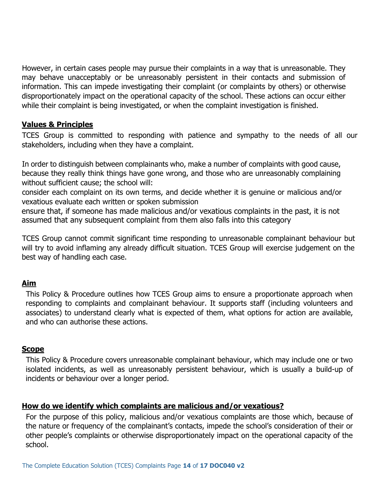However, in certain cases people may pursue their complaints in a way that is unreasonable. They may behave unacceptably or be unreasonably persistent in their contacts and submission of information. This can impede investigating their complaint (or complaints by others) or otherwise disproportionately impact on the operational capacity of the school. These actions can occur either while their complaint is being investigated, or when the complaint investigation is finished.

#### **Values & Principles**

TCES Group is committed to responding with patience and sympathy to the needs of all our stakeholders, including when they have a complaint.

In order to distinguish between complainants who, make a number of complaints with good cause, because they really think things have gone wrong, and those who are unreasonably complaining without sufficient cause; the school will:

consider each complaint on its own terms, and decide whether it is genuine or malicious and/or vexatious evaluate each written or spoken submission

ensure that, if someone has made malicious and/or vexatious complaints in the past, it is not assumed that any subsequent complaint from them also falls into this category

TCES Group cannot commit significant time responding to unreasonable complainant behaviour but will try to avoid inflaming any already difficult situation. TCES Group will exercise judgement on the best way of handling each case.

#### **Aim**

This Policy & Procedure outlines how TCES Group aims to ensure a proportionate approach when responding to complaints and complainant behaviour. It supports staff (including volunteers and associates) to understand clearly what is expected of them, what options for action are available, and who can authorise these actions.

#### **Scope**

This Policy & Procedure covers unreasonable complainant behaviour, which may include one or two isolated incidents, as well as unreasonably persistent behaviour, which is usually a build-up of incidents or behaviour over a longer period.

#### **How do we identify which complaints are malicious and/or vexatious?**

For the purpose of this policy, malicious and/or vexatious complaints are those which, because of the nature or frequency of the complainant's contacts, impede the school's consideration of their or other people's complaints or otherwise disproportionately impact on the operational capacity of the school.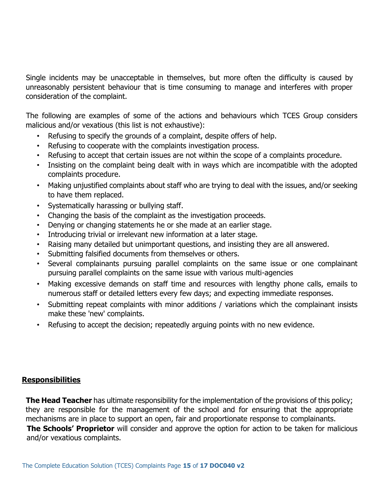Single incidents may be unacceptable in themselves, but more often the difficulty is caused by unreasonably persistent behaviour that is time consuming to manage and interferes with proper consideration of the complaint.

The following are examples of some of the actions and behaviours which TCES Group considers malicious and/or vexatious (this list is not exhaustive):

- Refusing to specify the grounds of a complaint, despite offers of help.
- Refusing to cooperate with the complaints investigation process.
- Refusing to accept that certain issues are not within the scope of a complaints procedure.
- Insisting on the complaint being dealt with in ways which are incompatible with the adopted complaints procedure.
- Making unjustified complaints about staff who are trying to deal with the issues, and/or seeking to have them replaced.
- Systematically harassing or bullying staff.
- Changing the basis of the complaint as the investigation proceeds.
- Denying or changing statements he or she made at an earlier stage.
- Introducing trivial or irrelevant new information at a later stage.
- Raising many detailed but unimportant questions, and insisting they are all answered.
- Submitting falsified documents from themselves or others.
- Several complainants pursuing parallel complaints on the same issue or one complainant pursuing parallel complaints on the same issue with various multi-agencies
- Making excessive demands on staff time and resources with lengthy phone calls, emails to numerous staff or detailed letters every few days; and expecting immediate responses.
- Submitting repeat complaints with minor additions / variations which the complainant insists make these 'new' complaints.
- Refusing to accept the decision; repeatedly arguing points with no new evidence.

#### **Responsibilities**

**The Head Teacher** has ultimate responsibility for the implementation of the provisions of this policy; they are responsible for the management of the school and for ensuring that the appropriate mechanisms are in place to support an open, fair and proportionate response to complainants. **The Schools' Proprietor** will consider and approve the option for action to be taken for malicious and/or vexatious complaints.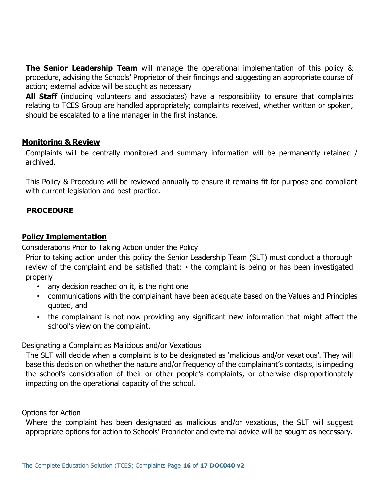**The Senior Leadership Team** will manage the operational implementation of this policy & procedure, advising the Schools' Proprietor of their findings and suggesting an appropriate course of action; external advice will be sought as necessary

All Staff (including volunteers and associates) have a responsibility to ensure that complaints relating to TCES Group are handled appropriately; complaints received, whether written or spoken, should be escalated to a line manager in the first instance.

#### **Monitoring & Review**

Complaints will be centrally monitored and summary information will be permanently retained / archived.

This Policy & Procedure will be reviewed annually to ensure it remains fit for purpose and compliant with current legislation and best practice.

#### **PROCEDURE**

#### **Policy Implementation**

Considerations Prior to Taking Action under the Policy

Prior to taking action under this policy the Senior Leadership Team (SLT) must conduct a thorough review of the complaint and be satisfied that: • the complaint is being or has been investigated properly

- any decision reached on it, is the right one
- communications with the complainant have been adequate based on the Values and Principles quoted, and
- the complainant is not now providing any significant new information that might affect the school's view on the complaint.

#### Designating a Complaint as Malicious and/or Vexatious

The SLT will decide when a complaint is to be designated as 'malicious and/or vexatious'. They will base this decision on whether the nature and/or frequency of the complainant's contacts, is impeding the school's consideration of their or other people's complaints, or otherwise disproportionately impacting on the operational capacity of the school.

#### Options for Action

Where the complaint has been designated as malicious and/or vexatious, the SLT will suggest appropriate options for action to Schools' Proprietor and external advice will be sought as necessary.